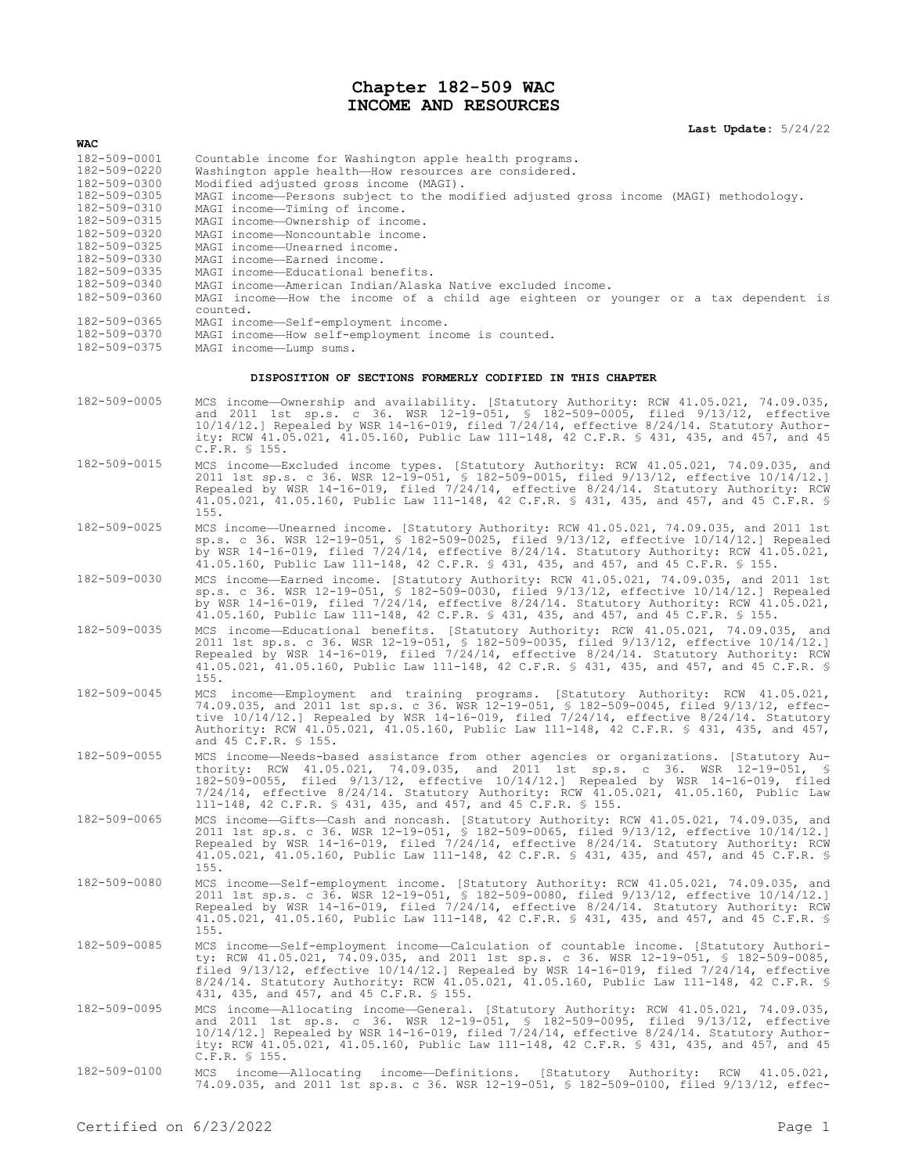## **Chapter 182-509 WAC INCOME AND RESOURCES**

## **Last Update:** 5/24/22

| WAC                          |                                                                                                                                                                                                                                                                                                                                                                                                                                       |
|------------------------------|---------------------------------------------------------------------------------------------------------------------------------------------------------------------------------------------------------------------------------------------------------------------------------------------------------------------------------------------------------------------------------------------------------------------------------------|
| 182-509-0001<br>182-509-0220 | Countable income for Washington apple health programs.<br>Washington apple health-How resources are considered.                                                                                                                                                                                                                                                                                                                       |
| 182-509-0300<br>182-509-0305 | Modified adjusted gross income (MAGI).                                                                                                                                                                                                                                                                                                                                                                                                |
| 182-509-0310                 | MAGI income-Persons subject to the modified adjusted gross income (MAGI) methodology.<br>MAGI income-Timing of income.                                                                                                                                                                                                                                                                                                                |
| 182-509-0315                 | MAGI income-Ownership of income.                                                                                                                                                                                                                                                                                                                                                                                                      |
| 182-509-0320<br>182-509-0325 | MAGI income-Noncountable income.                                                                                                                                                                                                                                                                                                                                                                                                      |
| 182-509-0330                 | MAGI income-Unearned income.<br>MAGI income-Earned income.                                                                                                                                                                                                                                                                                                                                                                            |
| 182-509-0335                 | MAGI income-Educational benefits.                                                                                                                                                                                                                                                                                                                                                                                                     |
| 182-509-0340<br>182-509-0360 | MAGI income-American Indian/Alaska Native excluded income.<br>MAGI income—How the income of a child age eighteen or younger or a tax dependent is                                                                                                                                                                                                                                                                                     |
|                              | counted.                                                                                                                                                                                                                                                                                                                                                                                                                              |
| 182-509-0365<br>182-509-0370 | MAGI income-Self-employment income.<br>MAGI income-How self-employment income is counted.                                                                                                                                                                                                                                                                                                                                             |
| 182-509-0375                 | MAGI income-Lump sums.                                                                                                                                                                                                                                                                                                                                                                                                                |
|                              | DISPOSITION OF SECTIONS FORMERLY CODIFIED IN THIS CHAPTER                                                                                                                                                                                                                                                                                                                                                                             |
| 182-509-0005                 | MCS income-Ownership and availability. [Statutory Authority: RCW 41.05.021, 74.09.035,                                                                                                                                                                                                                                                                                                                                                |
|                              | and 2011 1st sp.s. c 36. WSR 12-19-051, § 182-509-0005, filed 9/13/12, effective<br>$10/14/12$ .] Repealed by WSR 14-16-019, filed $7/24/14$ , effective $8/24/14$ . Statutory Author-<br>ity: RCW 41.05.021, 41.05.160, Public Law 111-148, 42 C.F.R. § 431, 435, and 457, and 45<br>C.F.R. § 155.                                                                                                                                   |
| 182-509-0015                 | MCS income-Excluded income types. [Statutory Authority: RCW 41.05.021, 74.09.035, and<br>2011 1st sp.s. c 36. WSR 12-19-051, § 182-509-0015, filed 9/13/12, effective 10/14/12.]<br>Repealed by WSR 14-16-019, filed 7/24/14, effective 8/24/14. Statutory Authority: RCW<br>41.05.021, 41.05.160, Public Law 111-148, 42 C.F.R. § 431, 435, and 457, and 45 C.F.R. §<br>155.                                                         |
| 182-509-0025                 | MCS income—Unearned income. [Statutory Authority: RCW 41.05.021, 74.09.035, and 2011 1st<br>sp.s. c 36. WSR 12-19-051, § 182-509-0025, filed $9/13/12$ , effective $10/14/12$ . Repealed<br>by WSR 14-16-019, filed 7/24/14, effective 8/24/14. Statutory Authority: RCW 41.05.021,<br>41.05.160, Public Law 111-148, 42 C.F.R. \$ 431, 435, and 457, and 45 C.F.R. \$ 155.                                                           |
| 182-509-0030                 | MCS income-Earned income. [Statutory Authority: RCW 41.05.021, 74.09.035, and 2011 1st<br>sp.s. c 36. WSR 12-19-051, § 182-509-0030, filed 9/13/12, effective 10/14/12.] Repealed<br>by WSR 14-16-019, filed $7/24/14$ , effective $8/24/14$ . Statutory Authority: RCW 41.05.021,<br>41.05.160, Public Law 111-148, 42 C.F.R. \$ 431, 435, and 457, and 45 C.F.R. \$ 155.                                                            |
| 182-509-0035                 | MCS income-Educational benefits. [Statutory Authority: RCW 41.05.021, 74.09.035, and<br>2011 1st sp.s. c 36. WSR 12-19-051, § 182-509-0035, filed 9/13/12, effective 10/14/12.]<br>Repealed by WSR 14-16-019, filed 7/24/14, effective 8/24/14. Statutory Authority: RCW<br>41.05.021, 41.05.160, Public Law 111-148, 42 C.F.R. § 431, 435, and 457, and 45 C.F.R. §<br>155.                                                          |
| 182-509-0045                 | MCS income-Employment and training programs. [Statutory Authority: RCW 41.05.021,<br>74.09.035, and 2011 1st sp.s. c 36. WSR 12-19-051, § 182-509-0045, filed 9/13/12, effec-<br>tive $10/14/12$ . Repealed by WSR 14-16-019, filed $7/24/14$ , effective $8/24/14$ . Statutory<br>Authority: RCW 41.05.021, 41.05.160, Public Law 111-148, 42 C.F.R. § 431, 435, and 457,<br>and 45 C.F.R. § 155.                                    |
| 182-509-0055                 | MCS income—Needs-based assistance from other agencies or organizations. [Statutory Au-<br>thority: RCW 41.05.021, 74.09.035, and 2011 1st sp.s. c 36. WSR 12-19-051, §<br>$182-509-0055$ , filed $9/13/12$ , effective $10/14/12$ . Repealed by WSR 14-16-019, filed<br>$7/24/14$ , effective $8/24/14$ . Statutory Authority: RCW 41.05.021, 41.05.160, Public Law<br>111-148, 42 C.F.R. \$ 431, 435, and 457, and 45 C.F.R. \$ 155. |
| 182-509-0065                 | MCS income-Gifts-Cash and noncash. [Statutory Authority: RCW 41.05.021, 74.09.035, and<br>2011 1st sp.s. c 36. WSR 12-19-051, § 182-509-0065, filed 9/13/12, effective 10/14/12.]<br>Repealed by WSR 14-16-019, filed 7/24/14, effective 8/24/14. Statutory Authority: RCW<br>41.05.021, 41.05.160, Public Law 111-148, 42 C.F.R. § 431, 435, and 457, and 45 C.F.R. §<br>155.                                                        |
| 182-509-0080                 | MCS income-Self-employment income. [Statutory Authority: RCW 41.05.021, 74.09.035, and<br>2011 1st sp.s. c 36. WSR 12-19-051, § 182-509-0080, filed 9/13/12, effective 10/14/12.]<br>Repealed by WSR 14-16-019, filed 7/24/14, effective 8/24/14. Statutory Authority: RCW<br>41.05.021, 41.05.160, Public Law 111-148, 42 C.F.R. § 431, 435, and 457, and 45 C.F.R. §<br>155.                                                        |
| 182-509-0085                 | MCS income-Self-employment income-Calculation of countable income. [Statutory Authori-<br>ty: RCW 41.05.021, 74.09.035, and 2011 1st sp.s. c 36. WSR 12-19-051, § 182-509-0085,<br>filed 9/13/12, effective 10/14/12.] Repealed by WSR 14-16-019, filed 7/24/14, effective<br>8/24/14. Statutory Authority: RCW 41.05.021, 41.05.160, Public Law 111-148, 42 C.F.R. §<br>431, 435, and 457, and 45 C.F.R. § 155.                      |
| 182-509-0095                 | MCS income-Allocating income-General. [Statutory Authority: RCW 41.05.021, 74.09.035,<br>and 2011 1st sp.s. c 36. WSR 12-19-051, § 182-509-0095, filed 9/13/12, effective<br>10/14/12.] Repealed by WSR 14-16-019, filed 7/24/14, effective 8/24/14. Statutory Author-<br>ity: RCW 41.05.021, 41.05.160, Public Law 111-148, 42 C.F.R. \$ 431, 435, and 457, and 45<br>$C.F.R.$ \$ 155.                                               |
| 182-509-0100                 | income—Allocating income—Definitions. [Statutory Authority: RCW 41.05.021,<br>MCS<br>74.09.035, and 2011 1st sp.s. c 36. WSR 12-19-051, § 182-509-0100, filed 9/13/12, effec-                                                                                                                                                                                                                                                         |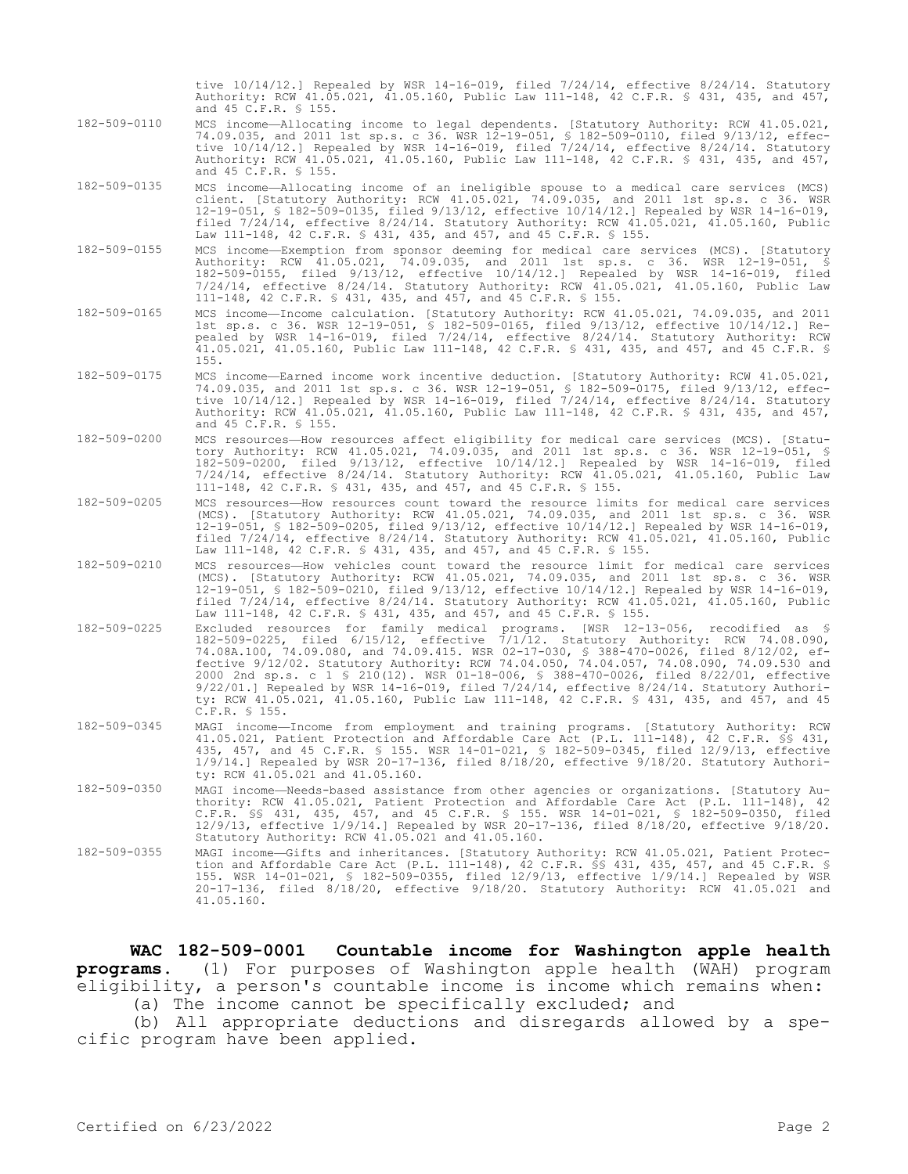tive 10/14/12.] Repealed by WSR 14-16-019, filed 7/24/14, effective 8/24/14. Statutory Authority: RCW 41.05.021, 41.05.160, Public Law 111-148, 42 C.F.R. § 431, 435, and 457, and 45 C.F.R. § 155.

- 182-509-0110 MCS income—Allocating income to legal dependents. [Statutory Authority: RCW 41.05.021, 74.09.035, and 2011 1st sp.s. c 36. WSR 12-19-051, § 182-509-0110, filed 9/13/12, effective 10/14/12.] Repealed by WSR 14-16-019, filed 7/24/14, effective 8/24/14. Statutory Authority: RCW 41.05.021, 41.05.160, Public Law 111-148, 42 C.F.R. § 431, 435, and 457, and 45 C.F.R. § 155.
- 182-509-0135 MCS income—Allocating income of an ineligible spouse to a medical care services (MCS) client. [Statutory Authority: RCW 41.05.021, 74.09.035, and 2011 1st sp.s. c 36. WSR 12-19-051, § 182-509-0135, filed 9/13/12, effective 10/14/12.] Repealed by WSR 14-16-019, filed 7/24/14, effective 8/24/14. Statutory Authority: RCW 41.05.021, 41.05.160, Public Law 111-148, 42 C.F.R. § 431, 435, and 457, and 45 C.F.R. § 155.
- 182-509-0155 MCS income—Exemption from sponsor deeming for medical care services (MCS). [Statutory Authority: RCW 41.05.021, 74.09.035, and 2011 1st sp.s. c 36. WSR 12-19-051, § 182-509-0155, filed 9/13/12, effective 10/14/12.] Repealed by WSR 14-16-019, filed 7/24/14, effective 8/24/14. Statutory Authority: RCW 41.05.021, 41.05.160, Public Law 111-148, 42 C.F.R. § 431, 435, and 457, and 45 C.F.R. § 155.
- 182-509-0165 MCS income—Income calculation. [Statutory Authority: RCW 41.05.021, 74.09.035, and 2011 1st sp.s. c 36. WSR 12-19-051, § 182-509-0165, filed 9/13/12, effective 10/14/12.] Repealed by WSR 14-16-019, filed 7/24/14, effective 8/24/14. Statutory Authority: RCW 41.05.021, 41.05.160, Public Law 111-148, 42 C.F.R. § 431, 435, and 457, and 45 C.F.R. § 155.
- 182-509-0175 MCS income—Earned income work incentive deduction. [Statutory Authority: RCW 41.05.021, 74.09.035, and 2011 1st sp.s. c 36. WSR 12-19-051, § 182-509-0175, filed 9/13/12, effective 10/14/12.] Repealed by WSR 14-16-019, filed 7/24/14, effective 8/24/14. Statutory Authority: RCW 41.05.021, 41.05.160, Public Law 111-148, 42 C.F.R. § 431, 435, and 457, and 45 C.F.R. § 155.
- 182-509-0200 MCS resources—How resources affect eligibility for medical care services (MCS). [Statutory Authority: RCW 41.05.021, 74.09.035, and 2011 1st sp.s. c 36. WSR 12-19-051, § 182-509-0200, filed 9/13/12, effective 10/14/12.] Repealed by WSR 14-16-019, filed 7/24/14, effective 8/24/14. Statutory Authority: RCW 41.05.021, 41.05.160, Public Law 111-148, 42 C.F.R. § 431, 435, and 457, and 45 C.F.R. § 155.
- 182-509-0205 MCS resources—How resources count toward the resource limits for medical care services (MCS). [Statutory Authority: RCW 41.05.021, 74.09.035, and 2011 1st sp.s. c 36. WSR 12-19-051, § 182-509-0205, filed 9/13/12, effective 10/14/12.] Repealed by WSR 14-16-019, filed 7/24/14, effective 8/24/14. Statutory Authority: RCW 41.05.021, 41.05.160, Public Law 111-148, 42 C.F.R. § 431, 435, and 457, and 45 C.F.R. § 155.
- 182-509-0210 MCS resources—How vehicles count toward the resource limit for medical care services (MCS). [Statutory Authority: RCW 41.05.021, 74.09.035, and 2011 1st sp.s. c 36. WSR 12-19-051, § 182-509-0210, filed 9/13/12, effective 10/14/12.] Repealed by WSR 14-16-019, filed 7/24/14, effective 8/24/14. Statutory Authority: RCW 41.05.021, 41.05.160, Public Law 111-148, 42 C.F.R. § 431, 435, and 457, and 45 C.F.R. § 155.
- 182-509-0225 Excluded resources for family medical programs. [WSR 12-13-056, recodified as § 182-509-0225, filed 6/15/12, effective 7/1/12. Statutory Authority: RCW 74.08.090, 74.08A.100, 74.09.080, and 74.09.415. WSR 02-17-030, § 388-470-0026, filed 8/12/02, effective 9/12/02. Statutory Authority: RCW 74.04.050, 74.04.057, 74.08.090, 74.09.530 and 2000 2nd sp.s. c 1 § 210(12). WSR 01-18-006, § 388-470-0026, filed 8/22/01, effective 9/22/01.] Repealed by WSR 14-16-019, filed 7/24/14, effective 8/24/14. Statutory Authority: RCW 41.05.021, 41.05.160, Public Law 111-148, 42 C.F.R. § 431, 435, and 457, and 45 C.F.R. § 155.
- 182-509-0345 MAGI income—Income from employment and training programs. [Statutory Authority: RCW 41.05.021, Patient Protection and Affordable Care Act (P.L. 111-148), 42 C.F.R. §§ 431, 435, 457, and 45 C.F.R. § 155. WSR 14-01-021, § 182-509-0345, filed 12/9/13, effective 1/9/14.] Repealed by WSR 20-17-136, filed 8/18/20, effective 9/18/20. Statutory Authority: RCW 41.05.021 and 41.05.160.
- 182-509-0350 MAGI income—Needs-based assistance from other agencies or organizations. [Statutory Authority: RCW 41.05.021, Patient Protection and Affordable Care Act (P.L. 111-148), 42 C.F.R. §§ 431, 435, 457, and 45 C.F.R. § 155. WSR 14-01-021, § 182-509-0350, filed 12/9/13, effective 1/9/14.] Repealed by WSR 20-17-136, filed 8/18/20, effective 9/18/20. Statutory Authority: RCW 41.05.021 and 41.05.160.
- 182-509-0355 MAGI income—Gifts and inheritances. [Statutory Authority: RCW 41.05.021, Patient Protection and Affordable Care Act (P.L. 111-148), 42 C.F.R. §§ 431, 435, 457, and 45 C.F.R. § 155. WSR 14-01-021, § 182-509-0355, filed 12/9/13, effective 1/9/14.] Repealed by WSR 20-17-136, filed 8/18/20, effective 9/18/20. Statutory Authority: RCW 41.05.021 and 41.05.160.

**WAC 182-509-0001 Countable income for Washington apple health programs.** (1) For purposes of Washington apple health (WAH) program eligibility, a person's countable income is income which remains when:

(a) The income cannot be specifically excluded; and

(b) All appropriate deductions and disregards allowed by a specific program have been applied.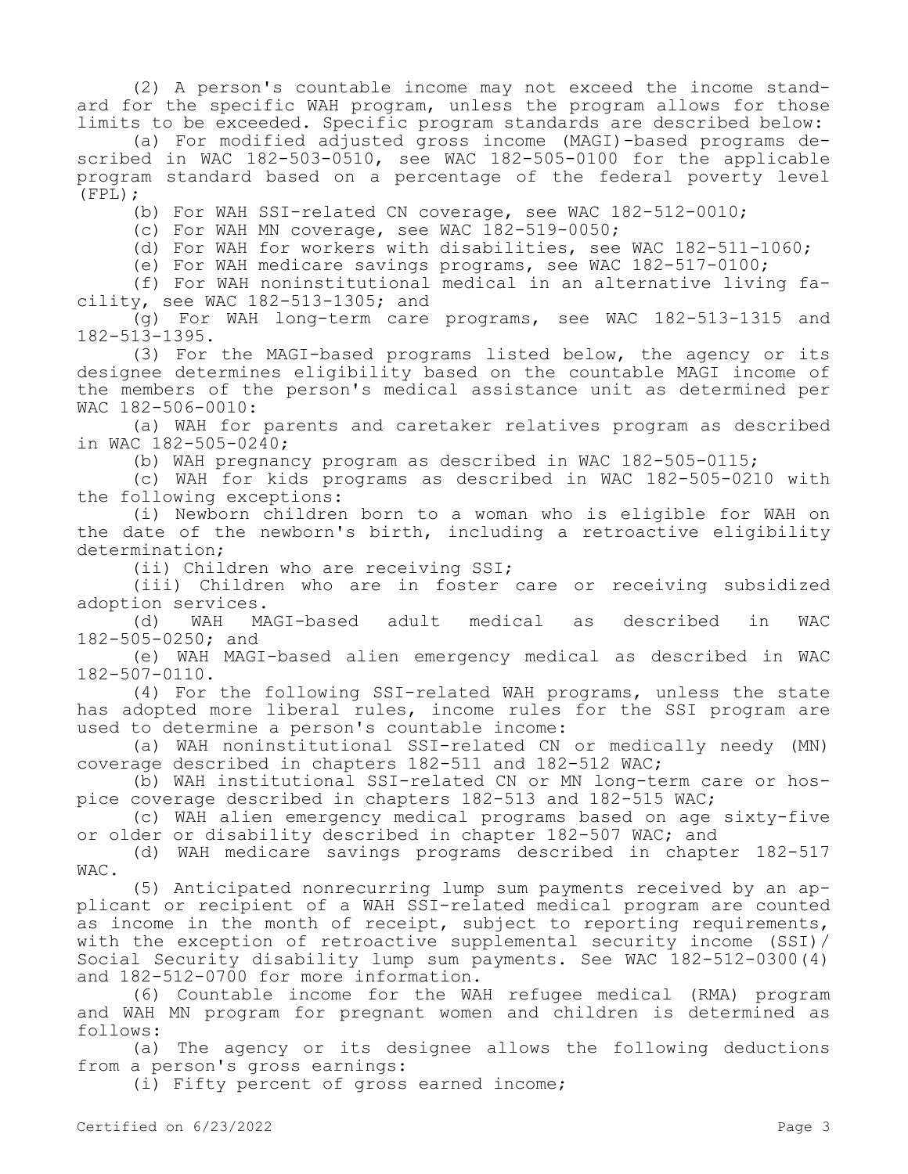(2) A person's countable income may not exceed the income standard for the specific WAH program, unless the program allows for those limits to be exceeded. Specific program standards are described below:

(a) For modified adjusted gross income (MAGI)-based programs described in WAC 182-503-0510, see WAC 182-505-0100 for the applicable program standard based on a percentage of the federal poverty level (FPL);

(b) For WAH SSI-related CN coverage, see WAC 182-512-0010;

(c) For WAH MN coverage, see WAC 182-519-0050;

(d) For WAH for workers with disabilities, see WAC 182-511-1060;

(e) For WAH medicare savings programs, see WAC 182-517-0100;

(f) For WAH noninstitutional medical in an alternative living facility, see WAC 182-513-1305; and

(g) For WAH long-term care programs, see WAC 182-513-1315 and 182-513-1395.

(3) For the MAGI-based programs listed below, the agency or its designee determines eligibility based on the countable MAGI income of the members of the person's medical assistance unit as determined per WAC 182-506-0010:

(a) WAH for parents and caretaker relatives program as described in WAC 182-505-0240;

(b) WAH pregnancy program as described in WAC 182-505-0115;

(c) WAH for kids programs as described in WAC 182-505-0210 with the following exceptions:

(i) Newborn children born to a woman who is eligible for WAH on the date of the newborn's birth, including a retroactive eligibility determination;

(ii) Children who are receiving SSI;

(iii) Children who are in foster care or receiving subsidized adoption services.

(d) WAH MAGI-based adult medical as described in WAC 182-505-0250; and

(e) WAH MAGI-based alien emergency medical as described in WAC 182-507-0110.

(4) For the following SSI-related WAH programs, unless the state has adopted more liberal rules, income rules for the SSI program are used to determine a person's countable income:

(a) WAH noninstitutional SSI-related CN or medically needy (MN) coverage described in chapters 182-511 and 182-512 WAC;

(b) WAH institutional SSI-related CN or MN long-term care or hospice coverage described in chapters 182-513 and 182-515 WAC;

(c) WAH alien emergency medical programs based on age sixty-five or older or disability described in chapter 182-507 WAC; and

(d) WAH medicare savings programs described in chapter 182-517 WAC.

(5) Anticipated nonrecurring lump sum payments received by an applicant or recipient of a WAH SSI-related medical program are counted as income in the month of receipt, subject to reporting requirements, with the exception of retroactive supplemental security income (SSI)/ Social Security disability lump sum payments. See WAC 182-512-0300(4) and 182-512-0700 for more information.

(6) Countable income for the WAH refugee medical (RMA) program and WAH MN program for pregnant women and children is determined as follows:

(a) The agency or its designee allows the following deductions from a person's gross earnings:

(i) Fifty percent of gross earned income;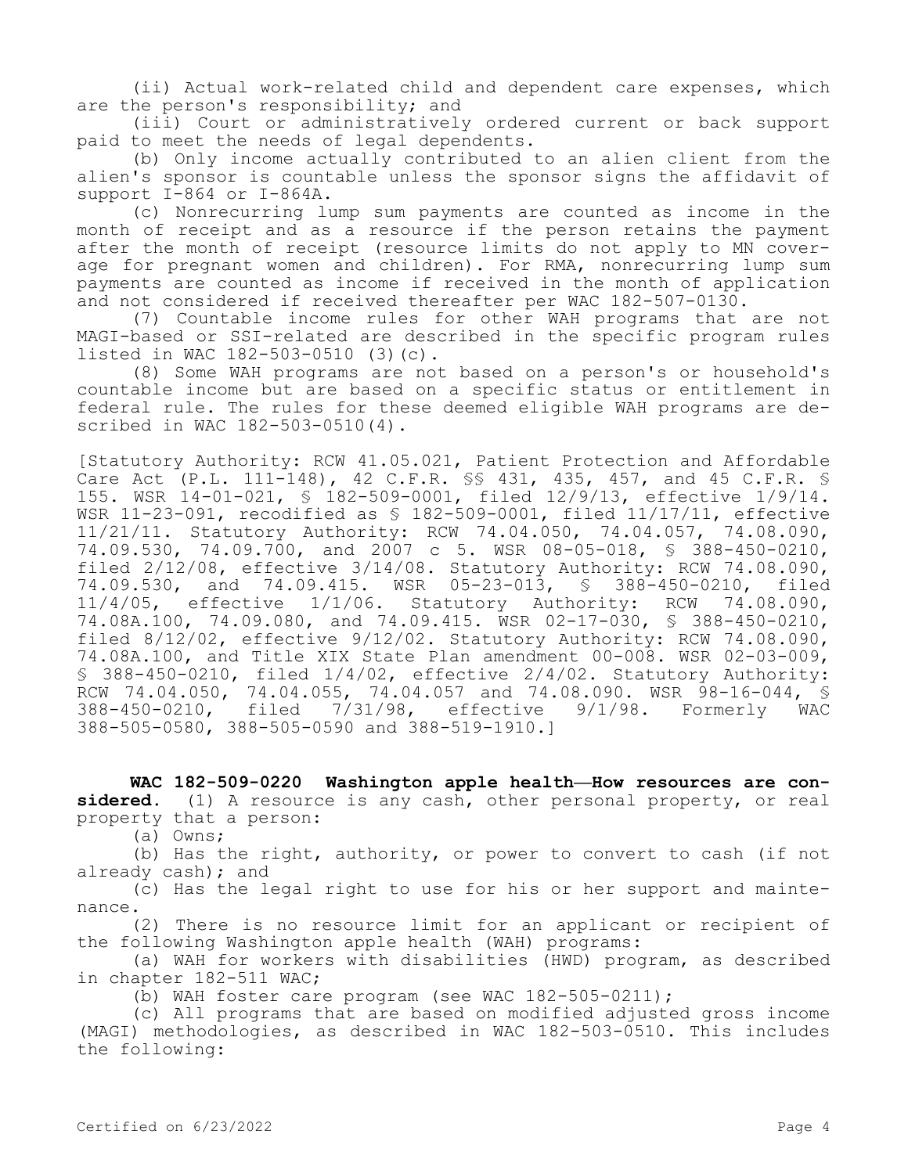(ii) Actual work-related child and dependent care expenses, which are the person's responsibility; and

(iii) Court or administratively ordered current or back support paid to meet the needs of legal dependents.

(b) Only income actually contributed to an alien client from the alien's sponsor is countable unless the sponsor signs the affidavit of support I-864 or I-864A.

(c) Nonrecurring lump sum payments are counted as income in the month of receipt and as a resource if the person retains the payment after the month of receipt (resource limits do not apply to MN coverage for pregnant women and children). For RMA, nonrecurring lump sum payments are counted as income if received in the month of application and not considered if received thereafter per WAC 182-507-0130.

(7) Countable income rules for other WAH programs that are not MAGI-based or SSI-related are described in the specific program rules listed in WAC 182-503-0510 (3)(c).

(8) Some WAH programs are not based on a person's or household's countable income but are based on a specific status or entitlement in federal rule. The rules for these deemed eligible WAH programs are described in WAC 182-503-0510(4).

[Statutory Authority: RCW 41.05.021, Patient Protection and Affordable Care Act (P.L. 111-148), 42 C.F.R. §§ 431, 435, 457, and 45 C.F.R. § 155. WSR 14-01-021, § 182-509-0001, filed 12/9/13, effective 1/9/14. WSR 11-23-091, recodified as § 182-509-0001, filed 11/17/11, effective 11/21/11. Statutory Authority: RCW 74.04.050, 74.04.057, 74.08.090, 74.09.530, 74.09.700, and 2007 c 5. WSR 08-05-018, § 388-450-0210, filed 2/12/08, effective 3/14/08. Statutory Authority: RCW 74.08.090, 74.09.530, and 74.09.415. WSR 05-23-013, § 388-450-0210, filed<br>11/4/05, effective 1/1/06. Statutory Authority: RCW 74.08.090, 11/4/05, effective 1/1/06. Statutory Authority: RCW 74.08A.100, 74.09.080, and 74.09.415. WSR 02-17-030, § 388-450-0210, filed 8/12/02, effective 9/12/02. Statutory Authority: RCW 74.08.090, 74.08A.100, and Title XIX State Plan amendment 00-008. WSR 02-03-009, § 388-450-0210, filed 1/4/02, effective 2/4/02. Statutory Authority: RCW 74.04.050, 74.04.055, 74.04.057 and 74.08.090. WSR 98-16-044, \$<br>388-450-0210, filed 7/31/98, effective 9/1/98. Formerly WAC 388-450-0210, filed 7/31/98, effective 9/1/98. Formerly WAC 388-505-0580, 388-505-0590 and 388-519-1910.]

**WAC 182-509-0220 Washington apple health—How resources are considered.** (1) A resource is any cash, other personal property, or real property that a person:

(a) Owns;

(b) Has the right, authority, or power to convert to cash (if not already cash); and

(c) Has the legal right to use for his or her support and maintenance.

(2) There is no resource limit for an applicant or recipient of the following Washington apple health (WAH) programs:

(a) WAH for workers with disabilities (HWD) program, as described in chapter 182-511 WAC;

(b) WAH foster care program (see WAC 182-505-0211);

(c) All programs that are based on modified adjusted gross income (MAGI) methodologies, as described in WAC 182-503-0510. This includes the following: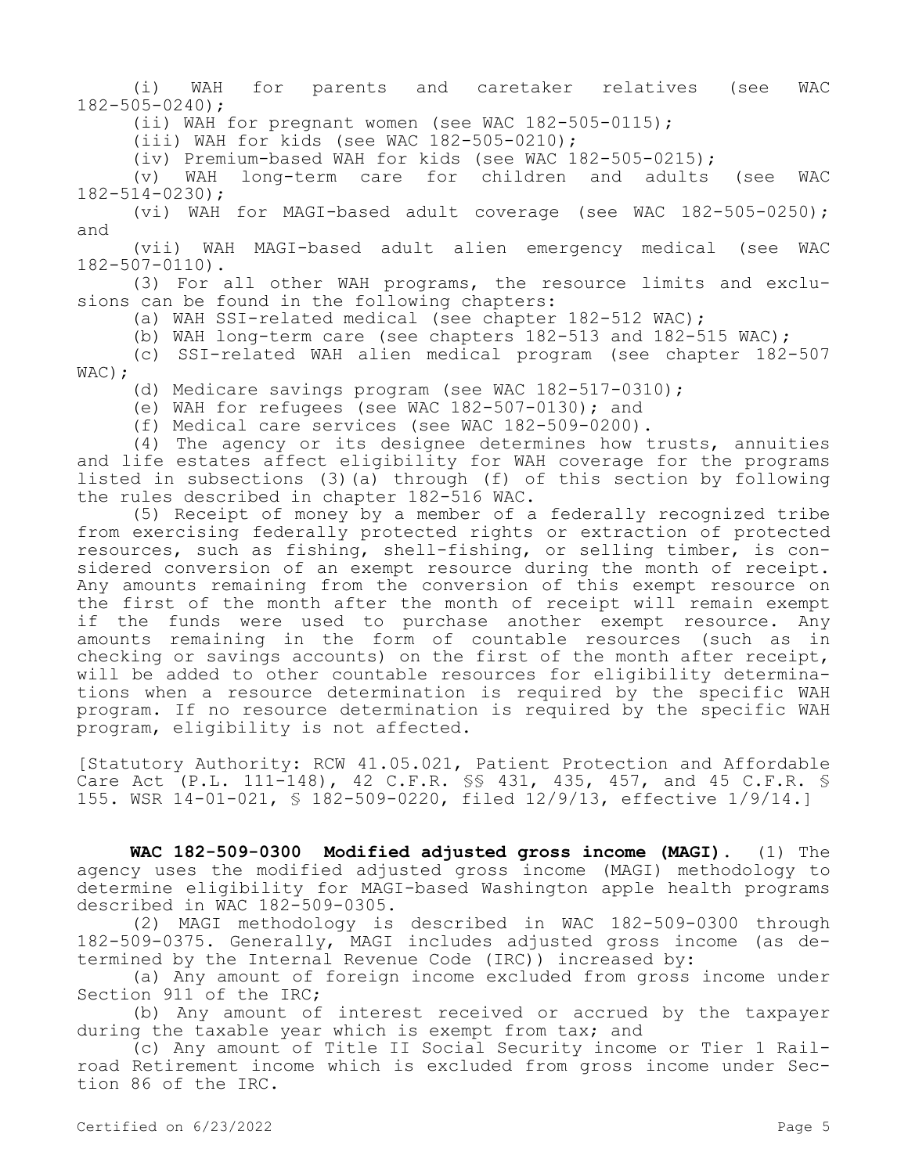(i) WAH for parents and caretaker relatives (see WAC 182-505-0240);

(ii) WAH for pregnant women (see WAC 182-505-0115);

 $(iii)$  WAH for kids (see WAC 182-505-0210);

(iv) Premium-based WAH for kids (see WAC 182-505-0215);

(v) WAH long-term care for children and adults (see WAC 182-514-0230);

(vi) WAH for MAGI-based adult coverage (see WAC 182-505-0250); and

(vii) WAH MAGI-based adult alien emergency medical (see WAC 182-507-0110).

(3) For all other WAH programs, the resource limits and exclusions can be found in the following chapters:

(a) WAH SSI-related medical (see chapter 182-512 WAC);

(b) WAH long-term care (see chapters 182-513 and 182-515 WAC);

(c) SSI-related WAH alien medical program (see chapter 182-507 WAC) :

(d) Medicare savings program (see WAC 182-517-0310);

(e) WAH for refugees (see WAC 182-507-0130); and

(f) Medical care services (see WAC 182-509-0200).

(4) The agency or its designee determines how trusts, annuities and life estates affect eligibility for WAH coverage for the programs listed in subsections (3)(a) through (f) of this section by following the rules described in chapter 182-516 WAC.

(5) Receipt of money by a member of a federally recognized tribe from exercising federally protected rights or extraction of protected resources, such as fishing, shell-fishing, or selling timber, is considered conversion of an exempt resource during the month of receipt. Any amounts remaining from the conversion of this exempt resource on the first of the month after the month of receipt will remain exempt if the funds were used to purchase another exempt resource. Any amounts remaining in the form of countable resources (such as in checking or savings accounts) on the first of the month after receipt, will be added to other countable resources for eligibility determinations when a resource determination is required by the specific WAH program. If no resource determination is required by the specific WAH program, eligibility is not affected.

[Statutory Authority: RCW 41.05.021, Patient Protection and Affordable Care Act (P.L. 111-148), 42 C.F.R. §§ 431, 435, 457, and 45 C.F.R. § 155. WSR 14-01-021, § 182-509-0220, filed 12/9/13, effective 1/9/14.]

**WAC 182-509-0300 Modified adjusted gross income (MAGI).** (1) The agency uses the modified adjusted gross income (MAGI) methodology to determine eligibility for MAGI-based Washington apple health programs described in WAC 182-509-0305.

(2) MAGI methodology is described in WAC 182-509-0300 through 182-509-0375. Generally, MAGI includes adjusted gross income (as determined by the Internal Revenue Code (IRC)) increased by:

(a) Any amount of foreign income excluded from gross income under Section 911 of the IRC;

(b) Any amount of interest received or accrued by the taxpayer during the taxable year which is exempt from tax; and

(c) Any amount of Title II Social Security income or Tier 1 Railroad Retirement income which is excluded from gross income under Section 86 of the IRC.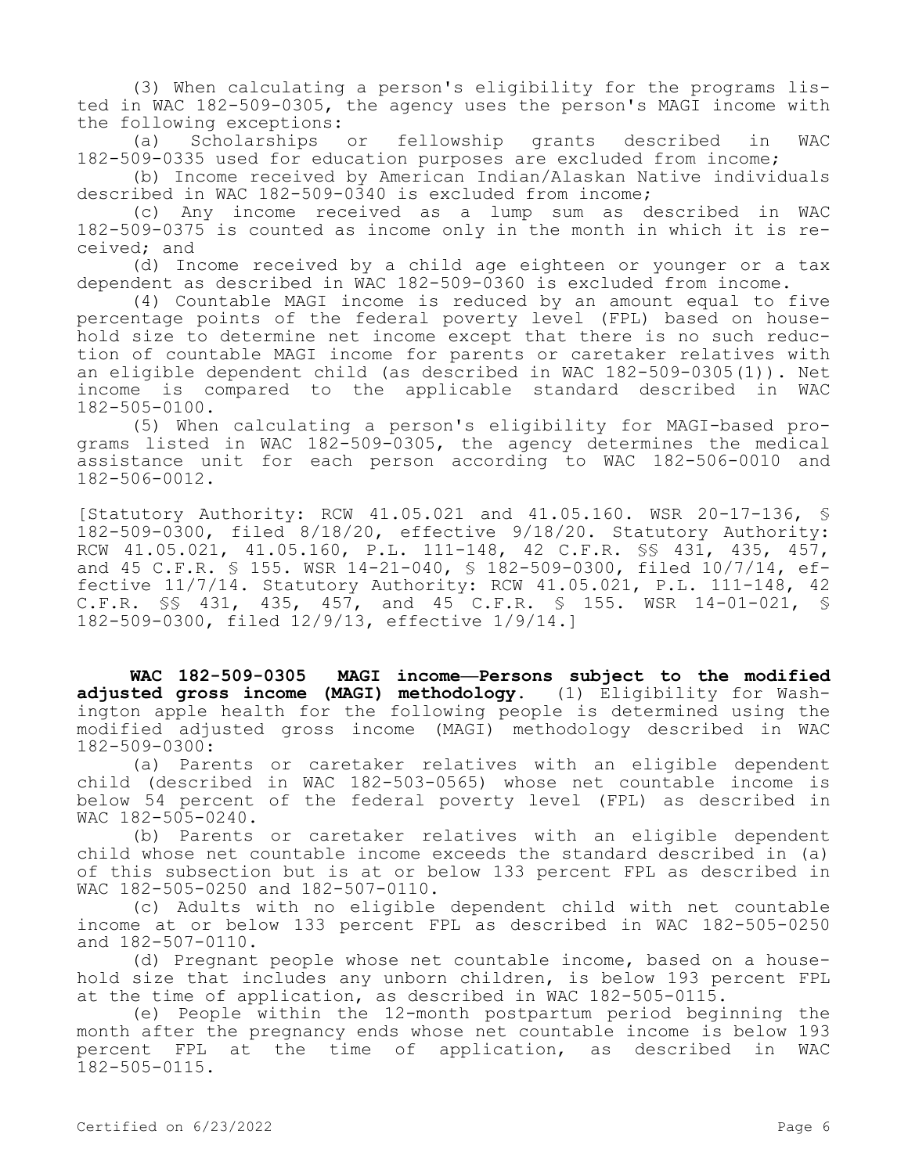(3) When calculating a person's eligibility for the programs listed in WAC 182-509-0305, the agency uses the person's MAGI income with the following exceptions:

(a) Scholarships or fellowship grants described in WAC 182-509-0335 used for education purposes are excluded from income;

(b) Income received by American Indian/Alaskan Native individuals described in WAC 182-509-0340 is excluded from income;

(c) Any income received as a lump sum as described in WAC 182-509-0375 is counted as income only in the month in which it is received; and

(d) Income received by a child age eighteen or younger or a tax dependent as described in WAC 182-509-0360 is excluded from income.

(4) Countable MAGI income is reduced by an amount equal to five percentage points of the federal poverty level (FPL) based on household size to determine net income except that there is no such reduction of countable MAGI income for parents or caretaker relatives with an eligible dependent child (as described in WAC 182-509-0305(1)). Net income is compared to the applicable standard described in WAC 182-505-0100.

(5) When calculating a person's eligibility for MAGI-based programs listed in WAC 182-509-0305, the agency determines the medical assistance unit for each person according to WAC 182-506-0010 and 182-506-0012.

[Statutory Authority: RCW 41.05.021 and 41.05.160. WSR 20-17-136, § 182-509-0300, filed 8/18/20, effective 9/18/20. Statutory Authority: RCW 41.05.021, 41.05.160, P.L. 111-148, 42 C.F.R. §§ 431, 435, 457, and 45 C.F.R. § 155. WSR 14-21-040, § 182-509-0300, filed 10/7/14, effective 11/7/14. Statutory Authority: RCW 41.05.021, P.L. 111-148, 42 C.F.R. §§ 431, 435, 457, and 45 C.F.R. § 155. WSR 14-01-021, § 182-509-0300, filed 12/9/13, effective 1/9/14.]

**WAC 182-509-0305 MAGI income—Persons subject to the modified adjusted gross income (MAGI) methodology.** (1) Eligibility for Washington apple health for the following people is determined using the modified adjusted gross income (MAGI) methodology described in WAC 182-509-0300:

(a) Parents or caretaker relatives with an eligible dependent child (described in WAC 182-503-0565) whose net countable income is below 54 percent of the federal poverty level (FPL) as described in WAC 182-505-0240.

(b) Parents or caretaker relatives with an eligible dependent child whose net countable income exceeds the standard described in (a) of this subsection but is at or below 133 percent FPL as described in WAC 182-505-0250 and 182-507-0110.

(c) Adults with no eligible dependent child with net countable income at or below 133 percent FPL as described in WAC 182-505-0250 and 182-507-0110.

(d) Pregnant people whose net countable income, based on a household size that includes any unborn children, is below 193 percent FPL at the time of application, as described in WAC 182-505-0115.

(e) People within the 12-month postpartum period beginning the month after the pregnancy ends whose net countable income is below 193 percent FPL at the time of application, as described in WAC 182-505-0115.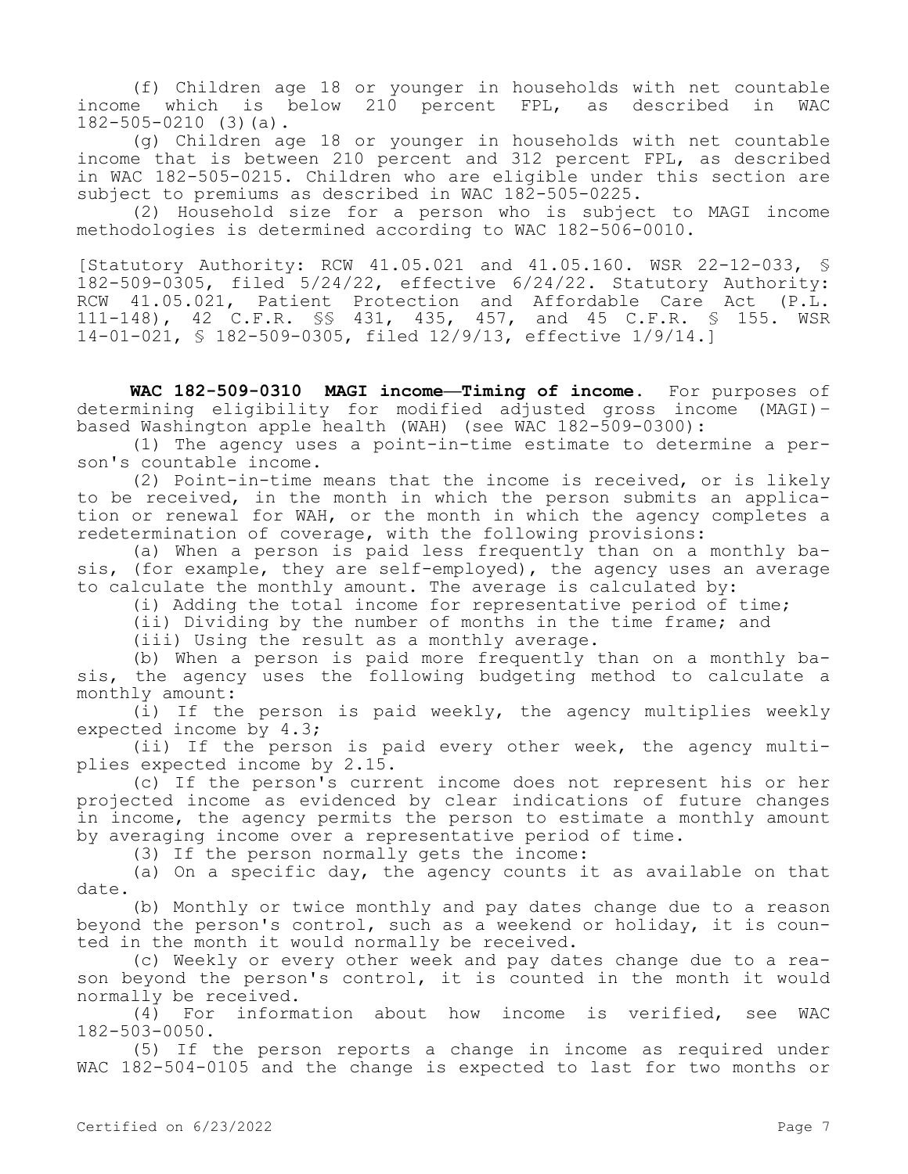(f) Children age 18 or younger in households with net countable income which is below 210 percent FPL, as described in WAC 182-505-0210 (3)(a).

(g) Children age 18 or younger in households with net countable income that is between 210 percent and 312 percent FPL, as described in WAC 182-505-0215. Children who are eligible under this section are subject to premiums as described in WAC 182-505-0225.

(2) Household size for a person who is subject to MAGI income methodologies is determined according to WAC 182-506-0010.

[Statutory Authority: RCW 41.05.021 and 41.05.160. WSR 22-12-033, § 182-509-0305, filed 5/24/22, effective 6/24/22. Statutory Authority: RCW 41.05.021, Patient Protection and Affordable Care Act (P.L. 111-148), 42 C.F.R. §§ 431, 435, 457, and 45 C.F.R. § 155. WSR 14-01-021, § 182-509-0305, filed 12/9/13, effective 1/9/14.]

**WAC 182-509-0310 MAGI income—Timing of income.** For purposes of determining eligibility for modified adjusted gross income (MAGI)– based Washington apple health (WAH) (see WAC 182-509-0300):

(1) The agency uses a point-in-time estimate to determine a person's countable income.

(2) Point-in-time means that the income is received, or is likely to be received, in the month in which the person submits an application or renewal for WAH, or the month in which the agency completes a redetermination of coverage, with the following provisions:

(a) When a person is paid less frequently than on a monthly basis, (for example, they are self-employed), the agency uses an average to calculate the monthly amount. The average is calculated by:

(i) Adding the total income for representative period of time;

(ii) Dividing by the number of months in the time frame; and

(iii) Using the result as a monthly average.

(b) When a person is paid more frequently than on a monthly basis, the agency uses the following budgeting method to calculate a monthly amount:

(i) If the person is paid weekly, the agency multiplies weekly expected income by 4.3;

(ii) If the person is paid every other week, the agency multiplies expected income by 2.15.

(c) If the person's current income does not represent his or her projected income as evidenced by clear indications of future changes in income, the agency permits the person to estimate a monthly amount by averaging income over a representative period of time.

(3) If the person normally gets the income:

(a) On a specific day, the agency counts it as available on that date.

(b) Monthly or twice monthly and pay dates change due to a reason beyond the person's control, such as a weekend or holiday, it is counted in the month it would normally be received.

(c) Weekly or every other week and pay dates change due to a reason beyond the person's control, it is counted in the month it would normally be received.

(4) For information about how income is verified, see WAC 182-503-0050.

(5) If the person reports a change in income as required under WAC 182-504-0105 and the change is expected to last for two months or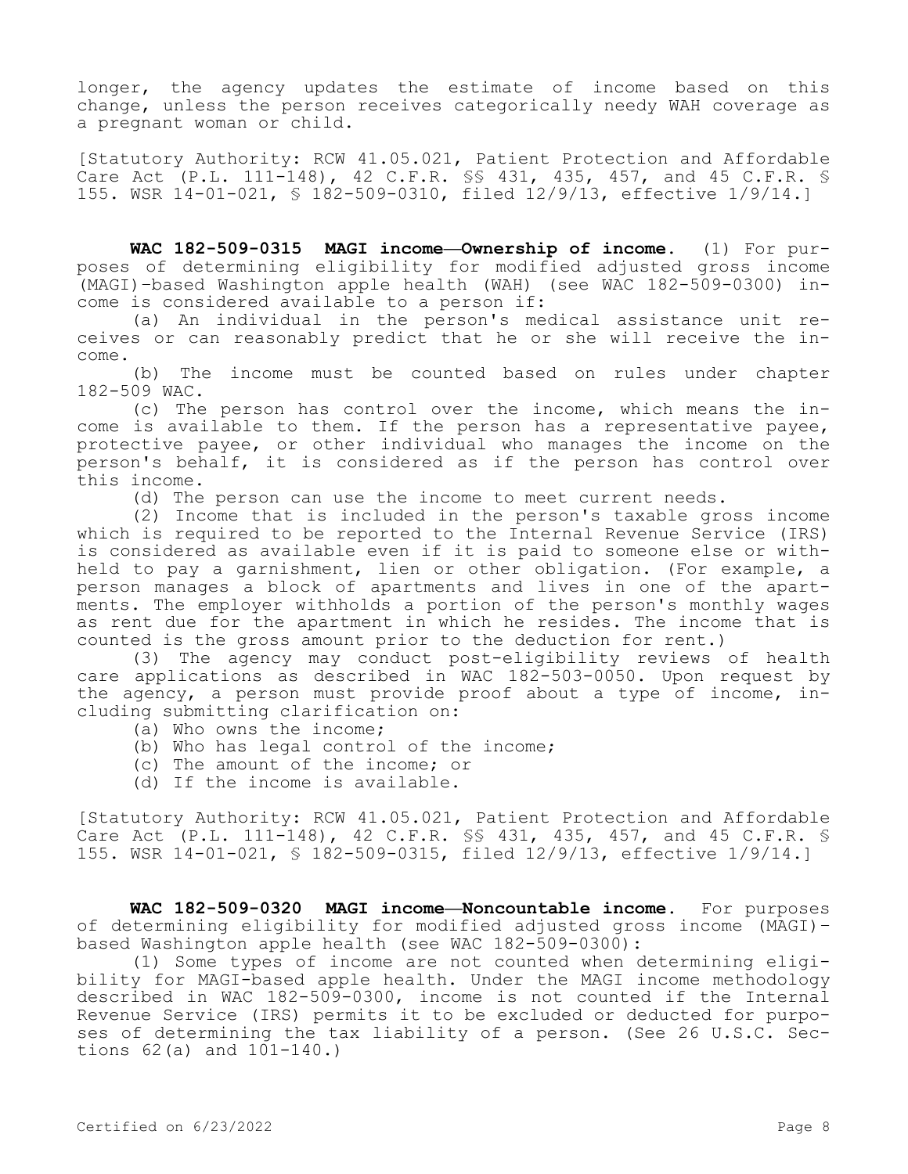longer, the agency updates the estimate of income based on this change, unless the person receives categorically needy WAH coverage as a pregnant woman or child.

[Statutory Authority: RCW 41.05.021, Patient Protection and Affordable Care Act (P.L. 111-148), 42 C.F.R. §§ 431, 435, 457, and 45 C.F.R. § 155. WSR 14-01-021, § 182-509-0310, filed 12/9/13, effective 1/9/14.]

**WAC 182-509-0315 MAGI income—Ownership of income.** (1) For purposes of determining eligibility for modified adjusted gross income (MAGI)–based Washington apple health (WAH) (see WAC 182-509-0300) income is considered available to a person if:

(a) An individual in the person's medical assistance unit receives or can reasonably predict that he or she will receive the income.

(b) The income must be counted based on rules under chapter 182-509 WAC.

(c) The person has control over the income, which means the income is available to them. If the person has a representative payee, protective payee, or other individual who manages the income on the person's behalf, it is considered as if the person has control over this income.

(d) The person can use the income to meet current needs.

(2) Income that is included in the person's taxable gross income which is required to be reported to the Internal Revenue Service (IRS) is considered as available even if it is paid to someone else or withheld to pay a garnishment, lien or other obligation. (For example, a person manages a block of apartments and lives in one of the apartments. The employer withholds a portion of the person's monthly wages as rent due for the apartment in which he resides. The income that is counted is the gross amount prior to the deduction for rent.)

(3) The agency may conduct post-eligibility reviews of health care applications as described in WAC 182-503-0050. Upon request by the agency, a person must provide proof about a type of income, including submitting clarification on:

- (a) Who owns the income;
- (b) Who has legal control of the income;
- (c) The amount of the income; or
- (d) If the income is available.

[Statutory Authority: RCW 41.05.021, Patient Protection and Affordable Care Act (P.L. 111-148), 42 C.F.R. §§ 431, 435, 457, and 45 C.F.R. § 155. WSR 14-01-021, § 182-509-0315, filed 12/9/13, effective 1/9/14.]

**WAC 182-509-0320 MAGI income—Noncountable income.** For purposes of determining eligibility for modified adjusted gross income (MAGI)– based Washington apple health (see WAC 182-509-0300):

(1) Some types of income are not counted when determining eligibility for MAGI-based apple health. Under the MAGI income methodology described in WAC 182-509-0300, income is not counted if the Internal Revenue Service (IRS) permits it to be excluded or deducted for purposes of determining the tax liability of a person. (See 26 U.S.C. Sections 62(a) and 101-140.)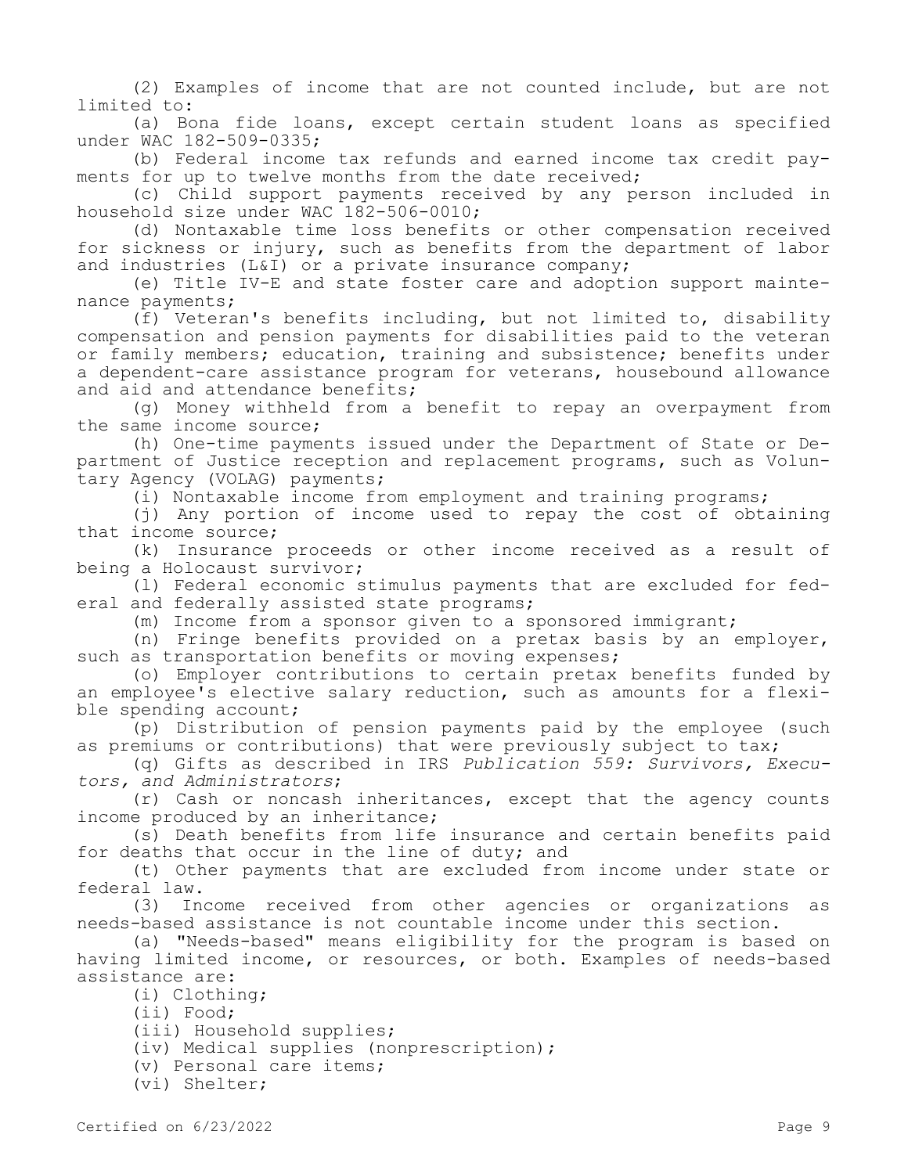(2) Examples of income that are not counted include, but are not limited to:

(a) Bona fide loans, except certain student loans as specified under WAC 182-509-0335;

(b) Federal income tax refunds and earned income tax credit payments for up to twelve months from the date received;

(c) Child support payments received by any person included in household size under WAC 182-506-0010;

(d) Nontaxable time loss benefits or other compensation received for sickness or injury, such as benefits from the department of labor and industries (L&I) or a private insurance company;

(e) Title IV-E and state foster care and adoption support maintenance payments;

(f) Veteran's benefits including, but not limited to, disability compensation and pension payments for disabilities paid to the veteran or family members; education, training and subsistence; benefits under a dependent-care assistance program for veterans, housebound allowance and aid and attendance benefits;

(g) Money withheld from a benefit to repay an overpayment from the same income source;

(h) One-time payments issued under the Department of State or Department of Justice reception and replacement programs, such as Voluntary Agency (VOLAG) payments;

(i) Nontaxable income from employment and training programs;

(j) Any portion of income used to repay the cost of obtaining that income source;

(k) Insurance proceeds or other income received as a result of being a Holocaust survivor;

(l) Federal economic stimulus payments that are excluded for federal and federally assisted state programs;

(m) Income from a sponsor given to a sponsored immigrant;

(n) Fringe benefits provided on a pretax basis by an employer, such as transportation benefits or moving expenses;

(o) Employer contributions to certain pretax benefits funded by an employee's elective salary reduction, such as amounts for a flexible spending account;

(p) Distribution of pension payments paid by the employee (such as premiums or contributions) that were previously subject to tax;

(q) Gifts as described in IRS *Publication 559: Survivors, Executors, and Administrators*;

(r) Cash or noncash inheritances, except that the agency counts income produced by an inheritance;

(s) Death benefits from life insurance and certain benefits paid for deaths that occur in the line of duty; and

(t) Other payments that are excluded from income under state or federal law.

(3) Income received from other agencies or organizations as needs-based assistance is not countable income under this section.

(a) "Needs-based" means eligibility for the program is based on having limited income, or resources, or both. Examples of needs-based assistance are:

(i) Clothing;

(ii) Food;

(iii) Household supplies;

(iv) Medical supplies (nonprescription);

(v) Personal care items;

(vi) Shelter;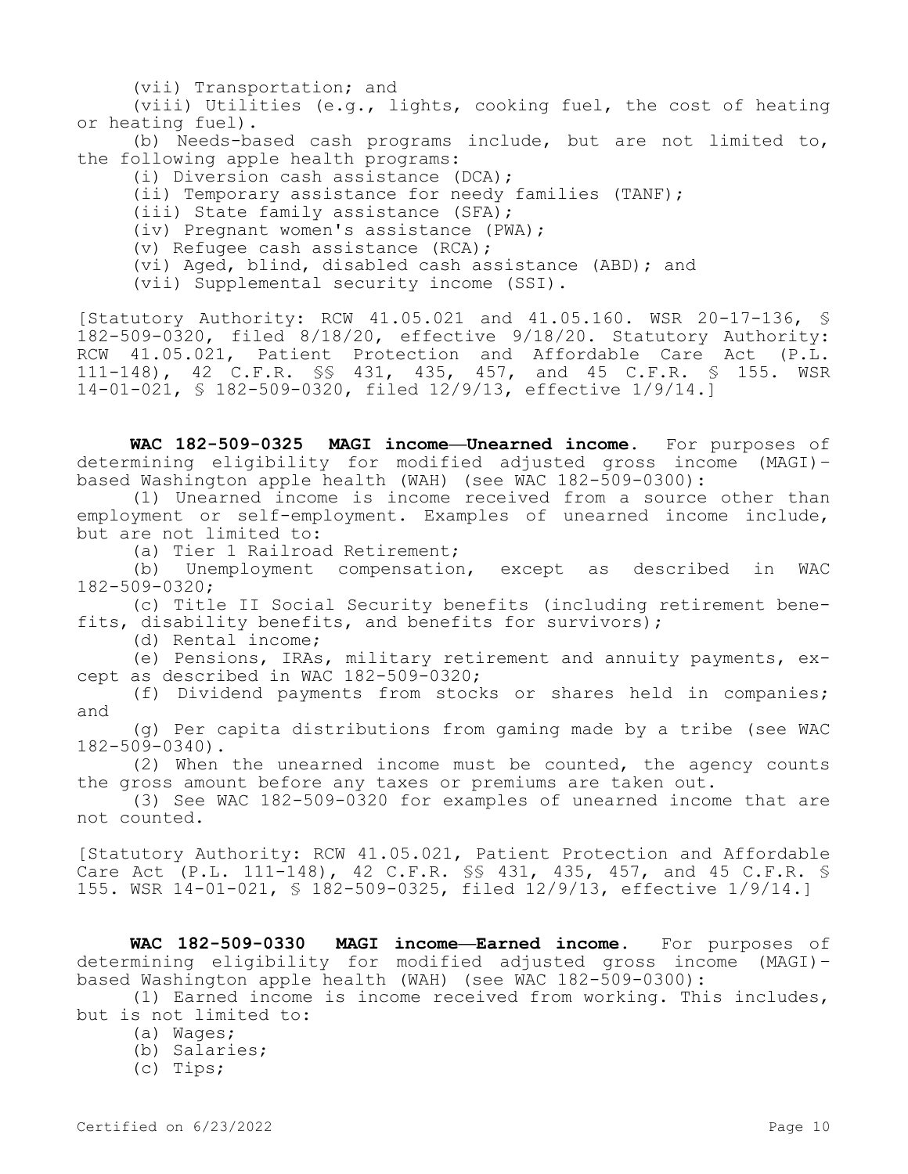(vii) Transportation; and

(viii) Utilities (e.g., lights, cooking fuel, the cost of heating or heating fuel).

(b) Needs-based cash programs include, but are not limited to, the following apple health programs:

(i) Diversion cash assistance (DCA);

(ii) Temporary assistance for needy families (TANF);

(iii) State family assistance (SFA);

(iv) Pregnant women's assistance (PWA);

(v) Refugee cash assistance (RCA);

(vi) Aged, blind, disabled cash assistance (ABD); and

(vii) Supplemental security income (SSI).

[Statutory Authority: RCW 41.05.021 and 41.05.160. WSR 20-17-136, § 182-509-0320, filed 8/18/20, effective 9/18/20. Statutory Authority: RCW 41.05.021, Patient Protection and Affordable Care Act (P.L. 111-148), 42 C.F.R. §§ 431, 435, 457, and 45 C.F.R. § 155. WSR 14-01-021, § 182-509-0320, filed 12/9/13, effective 1/9/14.]

**WAC 182-509-0325 MAGI income—Unearned income.** For purposes of determining eligibility for modified adjusted gross income (MAGI)– based Washington apple health (WAH) (see WAC 182-509-0300):

(1) Unearned income is income received from a source other than employment or self-employment. Examples of unearned income include, but are not limited to:

(a) Tier 1 Railroad Retirement;

(b) Unemployment compensation, except as described in WAC 182-509-0320;

(c) Title II Social Security benefits (including retirement benefits, disability benefits, and benefits for survivors);

(d) Rental income;

(e) Pensions, IRAs, military retirement and annuity payments, except as described in WAC 182-509-0320;

(f) Dividend payments from stocks or shares held in companies; and

(g) Per capita distributions from gaming made by a tribe (see WAC 182-509-0340).

(2) When the unearned income must be counted, the agency counts the gross amount before any taxes or premiums are taken out.

(3) See WAC 182-509-0320 for examples of unearned income that are not counted.

[Statutory Authority: RCW 41.05.021, Patient Protection and Affordable Care Act (P.L. 111-148), 42 C.F.R. §§ 431, 435, 457, and 45 C.F.R. § 155. WSR 14-01-021, § 182-509-0325, filed 12/9/13, effective 1/9/14.]

**WAC 182-509-0330 MAGI income—Earned income.** For purposes of determining eligibility for modified adjusted gross income (MAGI)– based Washington apple health (WAH) (see WAC 182-509-0300):

(1) Earned income is income received from working. This includes, but is not limited to:

- (a) Wages;
- (b) Salaries;
- (c) Tips;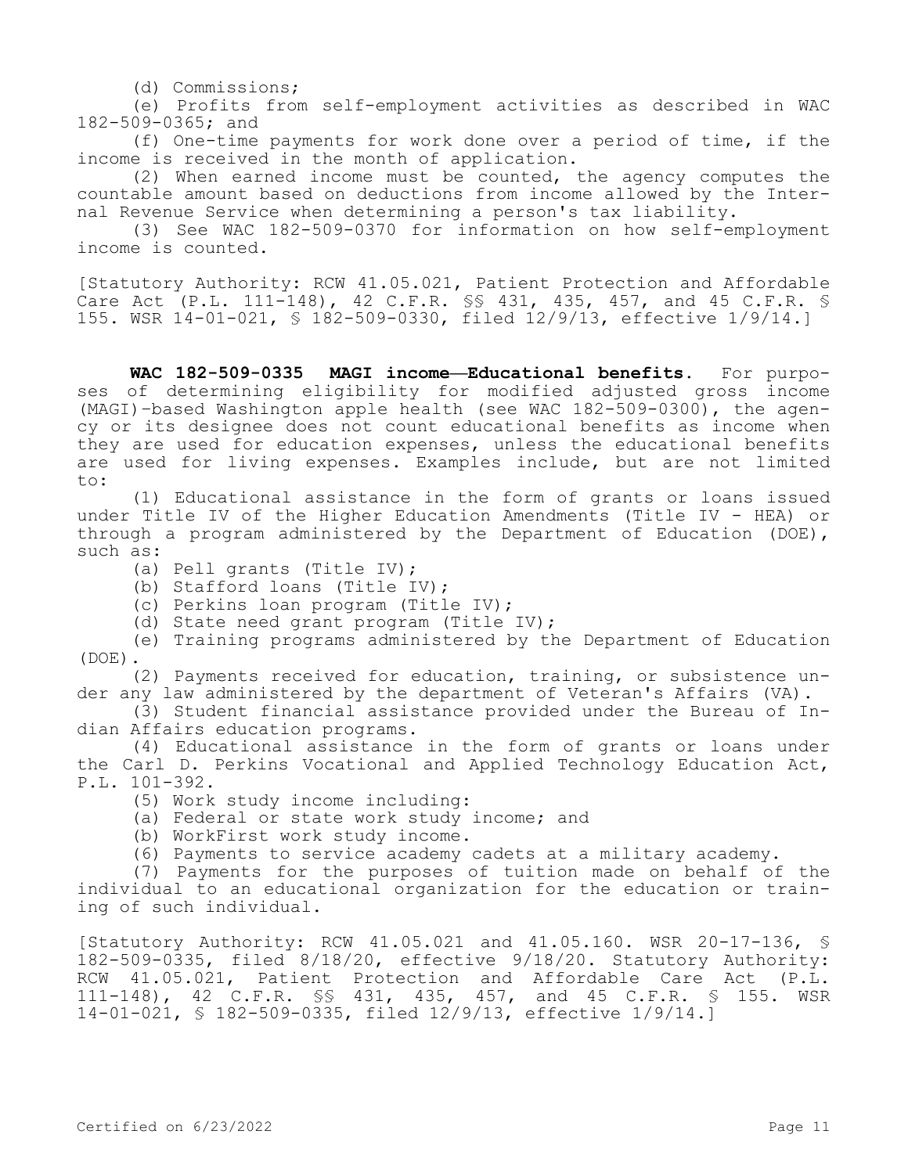(d) Commissions;

(e) Profits from self-employment activities as described in WAC 182-509-0365; and

(f) One-time payments for work done over a period of time, if the income is received in the month of application.

(2) When earned income must be counted, the agency computes the countable amount based on deductions from income allowed by the Internal Revenue Service when determining a person's tax liability.

(3) See WAC 182-509-0370 for information on how self-employment income is counted.

[Statutory Authority: RCW 41.05.021, Patient Protection and Affordable Care Act (P.L. 111-148), 42 C.F.R. §§ 431, 435, 457, and 45 C.F.R. § 155. WSR 14-01-021, § 182-509-0330, filed 12/9/13, effective 1/9/14.]

**WAC 182-509-0335 MAGI income—Educational benefits.** For purposes of determining eligibility for modified adjusted gross income (MAGI)–based Washington apple health (see WAC 182-509-0300), the agency or its designee does not count educational benefits as income when they are used for education expenses, unless the educational benefits are used for living expenses. Examples include, but are not limited to:

(1) Educational assistance in the form of grants or loans issued under Title IV of the Higher Education Amendments (Title IV - HEA) or through a program administered by the Department of Education (DOE), such as:

- (a) Pell grants (Title IV);
- (b) Stafford loans (Title IV);
- (c) Perkins loan program (Title IV);
- (d) State need grant program (Title IV);
- (e) Training programs administered by the Department of Education (DOE).

(2) Payments received for education, training, or subsistence under any law administered by the department of Veteran's Affairs (VA).

(3) Student financial assistance provided under the Bureau of Indian Affairs education programs.

(4) Educational assistance in the form of grants or loans under the Carl D. Perkins Vocational and Applied Technology Education Act, P.L. 101-392.

- (5) Work study income including:
- (a) Federal or state work study income; and
- (b) WorkFirst work study income.
- (6) Payments to service academy cadets at a military academy.

(7) Payments for the purposes of tuition made on behalf of the individual to an educational organization for the education or training of such individual.

[Statutory Authority: RCW 41.05.021 and 41.05.160. WSR 20-17-136, § 182-509-0335, filed 8/18/20, effective 9/18/20. Statutory Authority: RCW 41.05.021, Patient Protection and Affordable Care Act (P.L. 111-148), 42 C.F.R. §§ 431, 435, 457, and 45 C.F.R. § 155. WSR 14-01-021, § 182-509-0335, filed 12/9/13, effective 1/9/14.]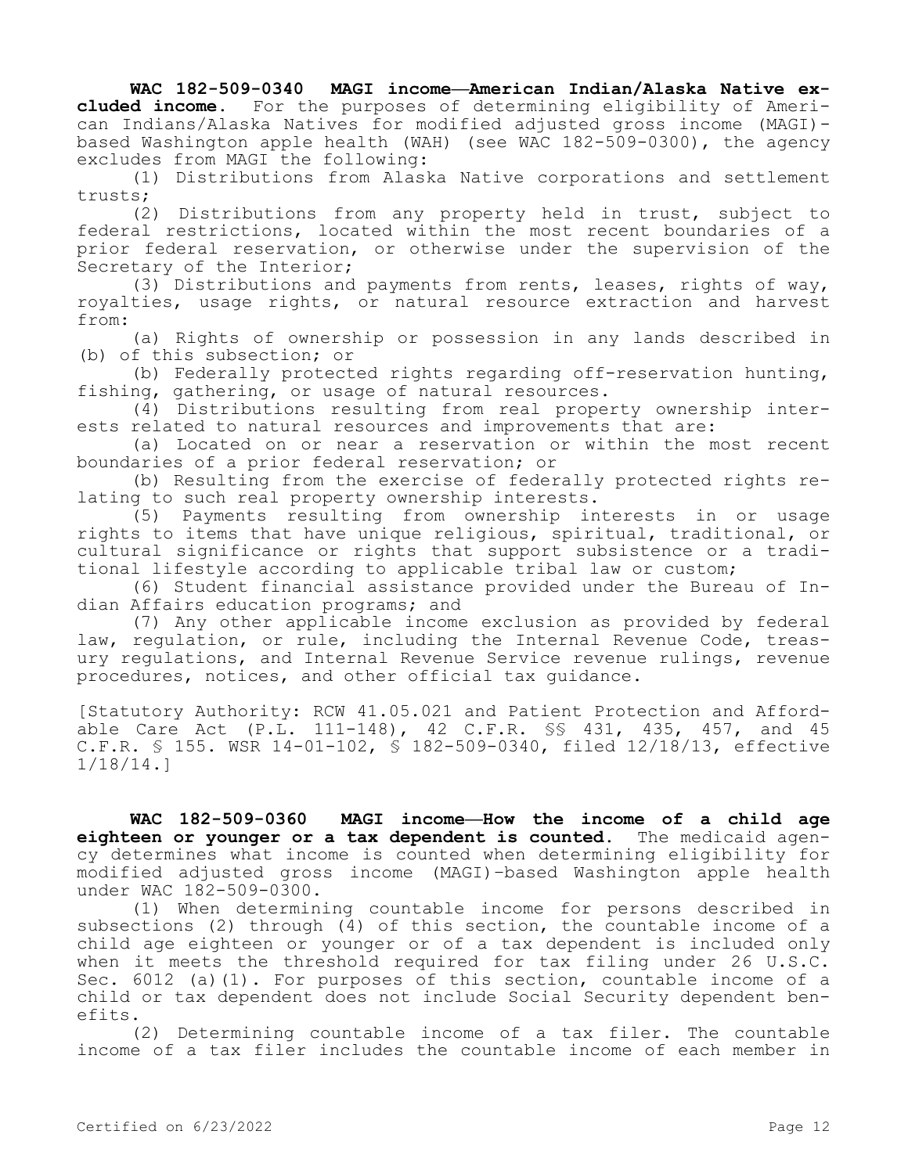## **WAC 182-509-0340 MAGI income—American Indian/Alaska Native ex-**

**cluded income.** For the purposes of determining eligibility of American Indians/Alaska Natives for modified adjusted gross income (MAGI) based Washington apple health (WAH) (see WAC 182-509-0300), the agency excludes from MAGI the following:

(1) Distributions from Alaska Native corporations and settlement trusts;

(2) Distributions from any property held in trust, subject to federal restrictions, located within the most recent boundaries of a prior federal reservation, or otherwise under the supervision of the Secretary of the Interior;

(3) Distributions and payments from rents, leases, rights of way, royalties, usage rights, or natural resource extraction and harvest from:

(a) Rights of ownership or possession in any lands described in (b) of this subsection; or

(b) Federally protected rights regarding off-reservation hunting, fishing, gathering, or usage of natural resources.

(4) Distributions resulting from real property ownership interests related to natural resources and improvements that are:

(a) Located on or near a reservation or within the most recent boundaries of a prior federal reservation; or

(b) Resulting from the exercise of federally protected rights relating to such real property ownership interests.

(5) Payments resulting from ownership interests in or usage rights to items that have unique religious, spiritual, traditional, or cultural significance or rights that support subsistence or a traditional lifestyle according to applicable tribal law or custom;

(6) Student financial assistance provided under the Bureau of Indian Affairs education programs; and

(7) Any other applicable income exclusion as provided by federal law, regulation, or rule, including the Internal Revenue Code, treasury regulations, and Internal Revenue Service revenue rulings, revenue procedures, notices, and other official tax guidance.

[Statutory Authority: RCW 41.05.021 and Patient Protection and Affordable Care Act (P.L. 111-148), 42 C.F.R. §§ 431, 435, 457, and 45 C.F.R. § 155. WSR 14-01-102, § 182-509-0340, filed 12/18/13, effective 1/18/14.]

**WAC 182-509-0360 MAGI income—How the income of a child age eighteen or younger or a tax dependent is counted.** The medicaid agency determines what income is counted when determining eligibility for modified adjusted gross income (MAGI)–based Washington apple health under WAC 182-509-0300.

(1) When determining countable income for persons described in subsections (2) through (4) of this section, the countable income of a child age eighteen or younger or of a tax dependent is included only when it meets the threshold required for tax filing under 26 U.S.C. Sec. 6012 (a)(1). For purposes of this section, countable income of a child or tax dependent does not include Social Security dependent benefits.

(2) Determining countable income of a tax filer. The countable income of a tax filer includes the countable income of each member in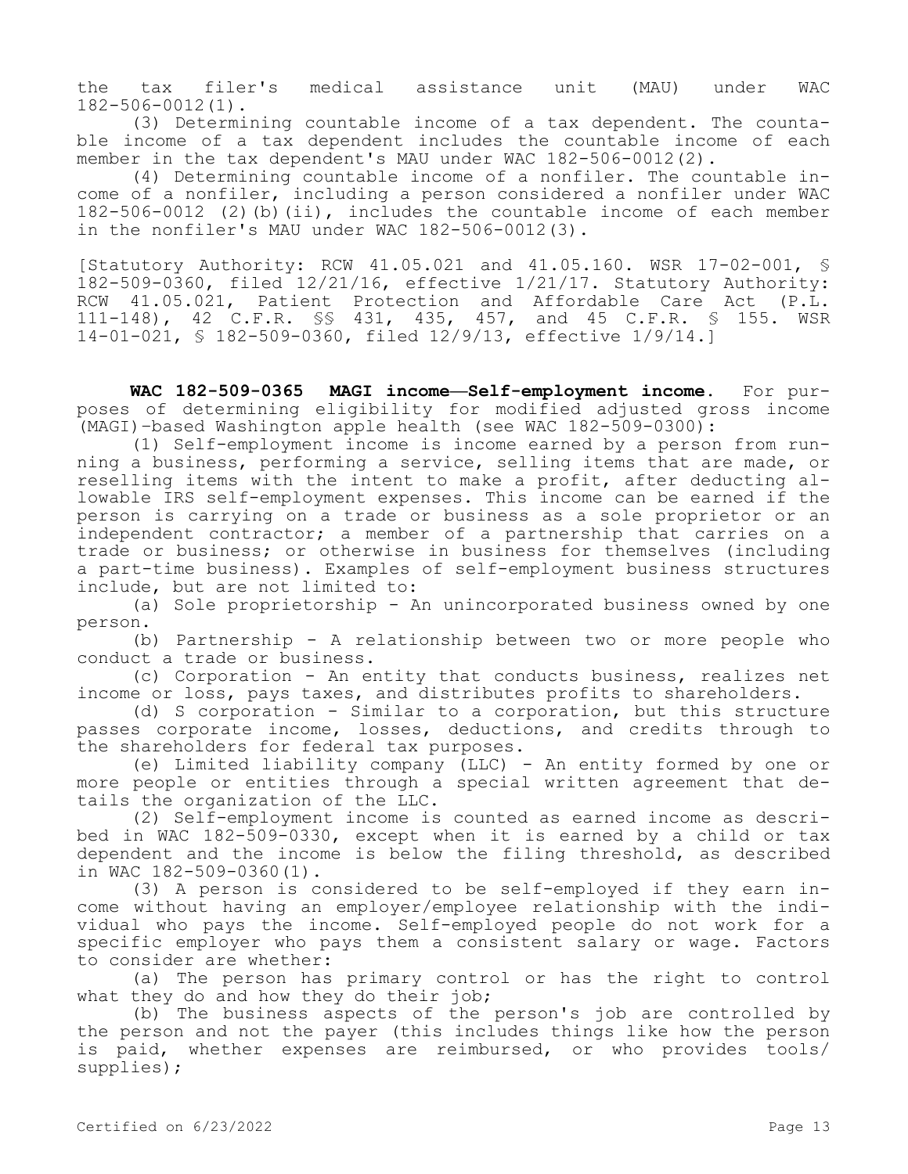the tax filer's medical assistance unit (MAU) under WAC 182-506-0012(1).

(3) Determining countable income of a tax dependent. The countable income of a tax dependent includes the countable income of each member in the tax dependent's MAU under WAC 182-506-0012(2).

(4) Determining countable income of a nonfiler. The countable income of a nonfiler, including a person considered a nonfiler under WAC 182-506-0012 (2)(b)(ii), includes the countable income of each member in the nonfiler's MAU under WAC 182-506-0012(3).

[Statutory Authority: RCW 41.05.021 and 41.05.160. WSR 17-02-001, § 182-509-0360, filed 12/21/16, effective 1/21/17. Statutory Authority: RCW 41.05.021, Patient Protection and Affordable Care Act (P.L. 111-148), 42 C.F.R. §§ 431, 435, 457, and 45 C.F.R. § 155. WSR 14-01-021, § 182-509-0360, filed 12/9/13, effective 1/9/14.]

**WAC 182-509-0365 MAGI income—Self-employment income.** For purposes of determining eligibility for modified adjusted gross income (MAGI)–based Washington apple health (see WAC 182-509-0300):

(1) Self-employment income is income earned by a person from running a business, performing a service, selling items that are made, or reselling items with the intent to make a profit, after deducting allowable IRS self-employment expenses. This income can be earned if the person is carrying on a trade or business as a sole proprietor or an independent contractor; a member of a partnership that carries on a trade or business; or otherwise in business for themselves (including a part-time business). Examples of self-employment business structures include, but are not limited to:

(a) Sole proprietorship - An unincorporated business owned by one person.

(b) Partnership - A relationship between two or more people who conduct a trade or business.

(c) Corporation - An entity that conducts business, realizes net income or loss, pays taxes, and distributes profits to shareholders.

(d) S corporation - Similar to a corporation, but this structure passes corporate income, losses, deductions, and credits through to the shareholders for federal tax purposes.

(e) Limited liability company (LLC) - An entity formed by one or more people or entities through a special written agreement that details the organization of the LLC.

(2) Self-employment income is counted as earned income as described in WAC 182-509-0330, except when it is earned by a child or tax dependent and the income is below the filing threshold, as described in WAC 182-509-0360(1).

(3) A person is considered to be self-employed if they earn income without having an employer/employee relationship with the individual who pays the income. Self-employed people do not work for a specific employer who pays them a consistent salary or wage. Factors to consider are whether:

(a) The person has primary control or has the right to control what they do and how they do their job;

(b) The business aspects of the person's job are controlled by the person and not the payer (this includes things like how the person is paid, whether expenses are reimbursed, or who provides tools/ supplies);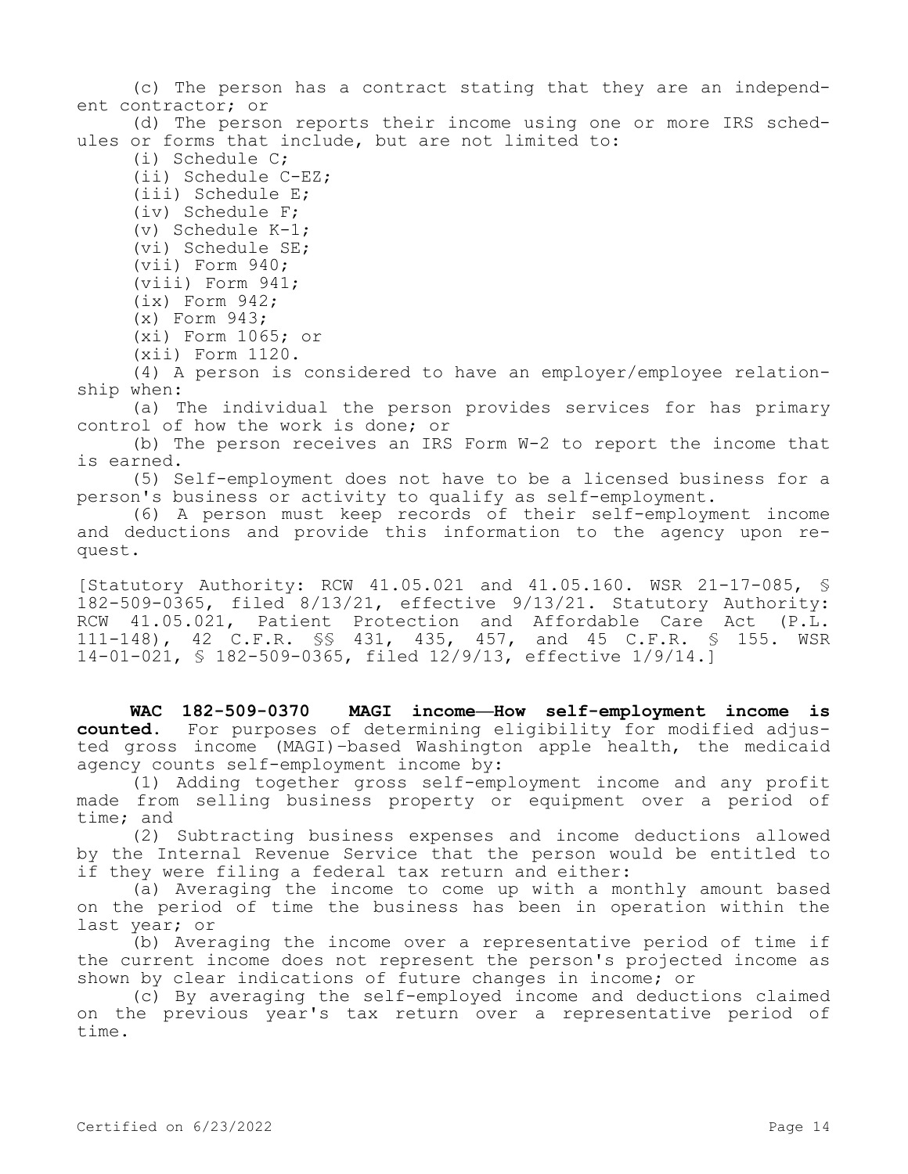(c) The person has a contract stating that they are an independent contractor; or

(d) The person reports their income using one or more IRS schedules or forms that include, but are not limited to:

(i) Schedule C;

- (ii) Schedule C-EZ;
- (iii) Schedule E;
- (iv) Schedule F;
- (v) Schedule K-1;
- (vi) Schedule SE; (vii) Form 940;
- 
- (viii) Form 941;
- (ix) Form 942;
- (x) Form 943;
- (xi) Form 1065; or (xii) Form 1120.

(4) A person is considered to have an employer/employee relationship when:

(a) The individual the person provides services for has primary control of how the work is done; or

(b) The person receives an IRS Form W-2 to report the income that is earned.

(5) Self-employment does not have to be a licensed business for a person's business or activity to qualify as self-employment.

(6) A person must keep records of their self-employment income and deductions and provide this information to the agency upon request.

[Statutory Authority: RCW 41.05.021 and 41.05.160. WSR 21-17-085, § 182-509-0365, filed 8/13/21, effective 9/13/21. Statutory Authority: RCW 41.05.021, Patient Protection and Affordable Care Act (P.L. 111-148), 42 C.F.R. §§ 431, 435, 457, and 45 C.F.R. § 155. WSR 14-01-021, § 182-509-0365, filed 12/9/13, effective 1/9/14.]

**WAC 182-509-0370 MAGI income—How self-employment income is counted.** For purposes of determining eligibility for modified adjusted gross income (MAGI)–based Washington apple health, the medicaid agency counts self-employment income by:

(1) Adding together gross self-employment income and any profit made from selling business property or equipment over a period of time; and

(2) Subtracting business expenses and income deductions allowed by the Internal Revenue Service that the person would be entitled to if they were filing a federal tax return and either:

(a) Averaging the income to come up with a monthly amount based on the period of time the business has been in operation within the last year; or

(b) Averaging the income over a representative period of time if the current income does not represent the person's projected income as shown by clear indications of future changes in income; or

(c) By averaging the self-employed income and deductions claimed on the previous year's tax return over a representative period of time.